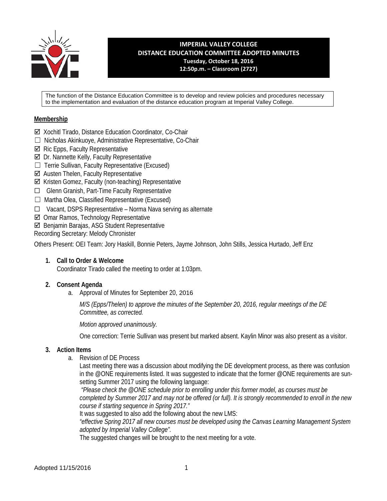

**IMPERIAL VALLEY COLLEGE DISTANCE EDUCATION COMMITTEE ADOPTED MINUTES Tuesday, October 18, 2016 12:50p.m. – Classroom (2727)**

The function of the Distance Education Committee is to develop and review policies and procedures necessary to the implementation and evaluation of the distance education program at Imperial Valley College.

## **Membership**

- Xochitl Tirado, Distance Education Coordinator, Co-Chair
- ☐ Nicholas Akinkuoye, Administrative Representative, Co-Chair
- $\boxtimes$  Ric Epps, Faculty Representative
- $\boxtimes$  Dr. Nannette Kelly, Faculty Representative
- $\Box$  Terrie Sullivan, Faculty Representative (Excused)
- Austen Thelen, Faculty Representative
- Kristen Gomez, Faculty (non-teaching) Representative
- ☐ Glenn Granish, Part-Time Faculty Representative
- ☐ Martha Olea, Classified Representative (Excused)
- ☐ Vacant, DSPS Representative Norma Nava serving as alternate
- Omar Ramos, Technology Representative
- Benjamin Barajas, ASG Student Representative

Recording Secretary: Melody Chronister

Others Present: OEI Team: Jory Haskill, Bonnie Peters, Jayme Johnson, John Stills, Jessica Hurtado, Jeff Enz

### **1. Call to Order & Welcome**

Coordinator Tirado called the meeting to order at 1:03pm.

### **2. Consent Agenda**

a. Approval of Minutes for September 20, 2016

*M/S (Epps/Thelen) to approve the minutes of the September 20, 2016, regular meetings of the DE Committee, as corrected.*

*Motion approved unanimously.*

One correction: Terrie Sullivan was present but marked absent. Kaylin Minor was also present as a visitor.

### **3. Action Items**

a. Revision of DE Process

Last meeting there was a discussion about modifying the DE development process, as there was confusion in the @ONE requirements listed. It was suggested to indicate that the former @ONE requirements are sunsetting Summer 2017 using the following language:

*"Please check the @ONE schedule prior to enrolling under this former model, as courses must be completed by Summer 2017 and may not be offered (or full). It is strongly recommended to enroll in the new course if starting sequence in Spring 2017."*

It was suggested to also add the following about the new LMS:

*"effective Spring 2017 all new courses must be developed using the Canvas Learning Management System adopted by Imperial Valley College".* 

The suggested changes will be brought to the next meeting for a vote.